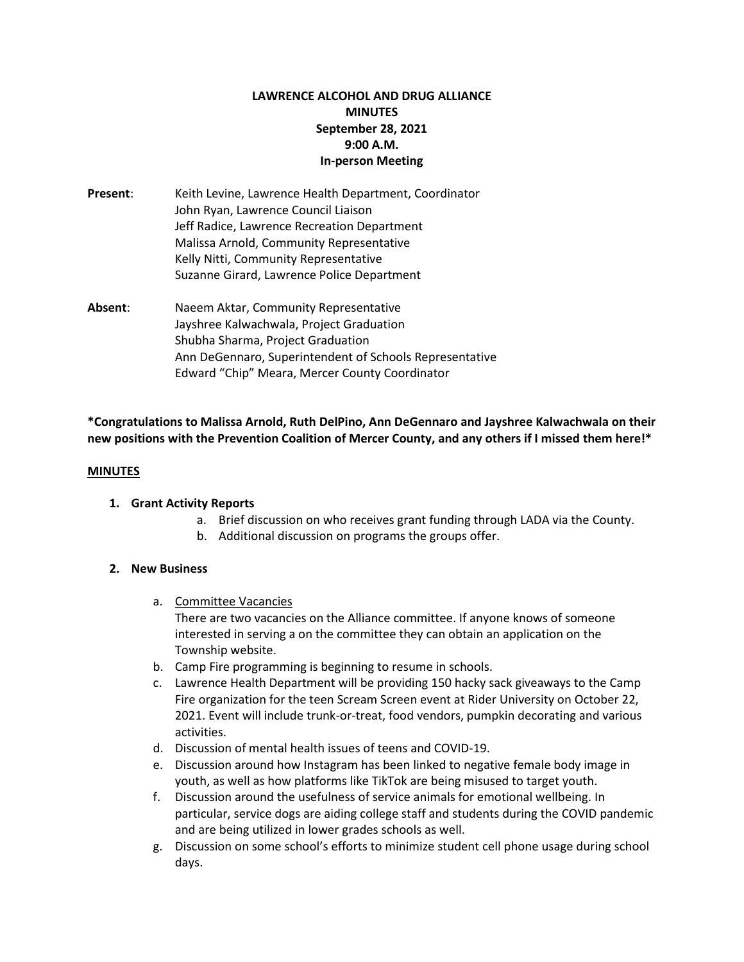# **LAWRENCE ALCOHOL AND DRUG ALLIANCE MINUTES September 28, 2021 9:00 A.M. In-person Meeting**

- **Present**: Keith Levine, Lawrence Health Department, Coordinator John Ryan, Lawrence Council Liaison Jeff Radice, Lawrence Recreation Department Malissa Arnold, Community Representative Kelly Nitti, Community Representative Suzanne Girard, Lawrence Police Department
- **Absent**: Naeem Aktar, Community Representative Jayshree Kalwachwala, Project Graduation Shubha Sharma, Project Graduation Ann DeGennaro, Superintendent of Schools Representative Edward "Chip" Meara, Mercer County Coordinator

# **\*Congratulations to Malissa Arnold, Ruth DelPino, Ann DeGennaro and Jayshree Kalwachwala on their new positions with the Prevention Coalition of Mercer County, and any others if I missed them here!\***

#### **MINUTES**

#### **1. Grant Activity Reports**

- a. Brief discussion on who receives grant funding through LADA via the County.
- b. Additional discussion on programs the groups offer.

#### **2. New Business**

a. Committee Vacancies

There are two vacancies on the Alliance committee. If anyone knows of someone interested in serving a on the committee they can obtain an application on the Township website.

- b. Camp Fire programming is beginning to resume in schools.
- c. Lawrence Health Department will be providing 150 hacky sack giveaways to the Camp Fire organization for the teen Scream Screen event at Rider University on October 22, 2021. Event will include trunk-or-treat, food vendors, pumpkin decorating and various activities.
- d. Discussion of mental health issues of teens and COVID-19.
- e. Discussion around how Instagram has been linked to negative female body image in youth, as well as how platforms like TikTok are being misused to target youth.
- f. Discussion around the usefulness of service animals for emotional wellbeing. In particular, service dogs are aiding college staff and students during the COVID pandemic and are being utilized in lower grades schools as well.
- g. Discussion on some school's efforts to minimize student cell phone usage during school days.